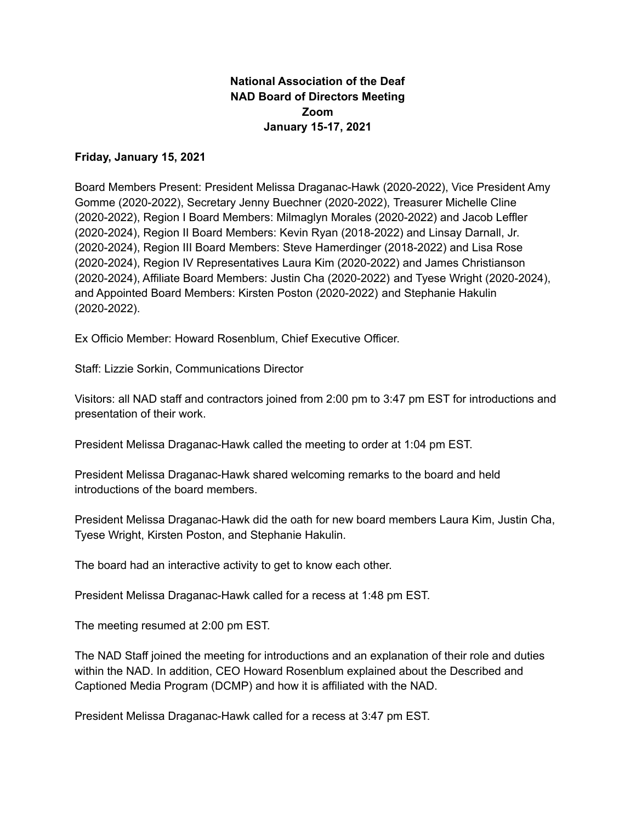# **National Association of the Deaf NAD Board of Directors Meeting Zoom January 15-17, 2021**

# **Friday, January 15, 2021**

Board Members Present: President Melissa Draganac-Hawk (2020-2022), Vice President Amy Gomme (2020-2022), Secretary Jenny Buechner (2020-2022), Treasurer Michelle Cline (2020-2022), Region I Board Members: Milmaglyn Morales (2020-2022) and Jacob Leffler (2020-2024), Region II Board Members: Kevin Ryan (2018-2022) and Linsay Darnall, Jr. (2020-2024), Region III Board Members: Steve Hamerdinger (2018-2022) and Lisa Rose (2020-2024), Region IV Representatives Laura Kim (2020-2022) and James Christianson (2020-2024), Affiliate Board Members: Justin Cha (2020-2022) and Tyese Wright (2020-2024), and Appointed Board Members: Kirsten Poston (2020-2022) and Stephanie Hakulin (2020-2022).

Ex Officio Member: Howard Rosenblum, Chief Executive Officer.

Staff: Lizzie Sorkin, Communications Director

Visitors: all NAD staff and contractors joined from 2:00 pm to 3:47 pm EST for introductions and presentation of their work.

President Melissa Draganac-Hawk called the meeting to order at 1:04 pm EST.

President Melissa Draganac-Hawk shared welcoming remarks to the board and held introductions of the board members.

President Melissa Draganac-Hawk did the oath for new board members Laura Kim, Justin Cha, Tyese Wright, Kirsten Poston, and Stephanie Hakulin.

The board had an interactive activity to get to know each other.

President Melissa Draganac-Hawk called for a recess at 1:48 pm EST.

The meeting resumed at 2:00 pm EST.

The NAD Staff joined the meeting for introductions and an explanation of their role and duties within the NAD. In addition, CEO Howard Rosenblum explained about the Described and Captioned Media Program (DCMP) and how it is affiliated with the NAD.

President Melissa Draganac-Hawk called for a recess at 3:47 pm EST.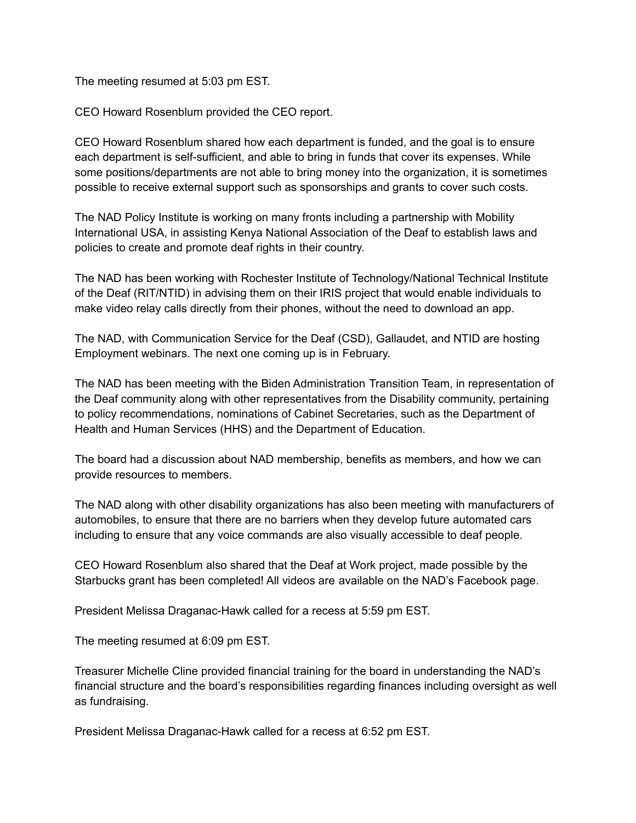The meeting resumed at 5:03 pm EST.

CEO Howard Rosenblum provided the CEO report.

CEO Howard Rosenblum shared how each department is funded, and the goal is to ensure each department is self-sufficient, and able to bring in funds that cover its expenses. While some positions/departments are not able to bring money into the organization, it is sometimes possible to receive external support such as sponsorships and grants to cover such costs.

The NAD Policy Institute is working on many fronts including a partnership with Mobility International USA, in assisting Kenya National Association of the Deaf to establish laws and policies to create and promote deaf rights in their country.

The NAD has been working with Rochester Institute of Technology/National Technical Institute of the Deaf (RIT/NTID) in advising them on their IRIS project that would enable individuals to make video relay calls directly from their phones, without the need to download an app.

The NAD, with Communication Service for the Deaf (CSD), Gallaudet, and NTID are hosting Employment webinars. The next one coming up is in February.

The NAD has been meeting with the Biden Administration Transition Team, in representation of the Deaf community along with other representatives from the Disability community, pertaining to policy recommendations, nominations of Cabinet Secretaries, such as the Department of Health and Human Services (HHS) and the Department of Education.

The board had a discussion about NAD membership, benefits as members, and how we can provide resources to members.

The NAD along with other disability organizations has also been meeting with manufacturers of automobiles, to ensure that there are no barriers when they develop future automated cars including to ensure that any voice commands are also visually accessible to deaf people.

CEO Howard Rosenblum also shared that the Deaf at Work project, made possible by the Starbucks grant has been completed! All videos are available on the NAD's Facebook page.

President Melissa Draganac-Hawk called for a recess at 5:59 pm EST.

The meeting resumed at 6:09 pm EST.

Treasurer Michelle Cline provided financial training for the board in understanding the NAD's financial structure and the board's responsibilities regarding finances including oversight as well as fundraising.

President Melissa Draganac-Hawk called for a recess at 6:52 pm EST.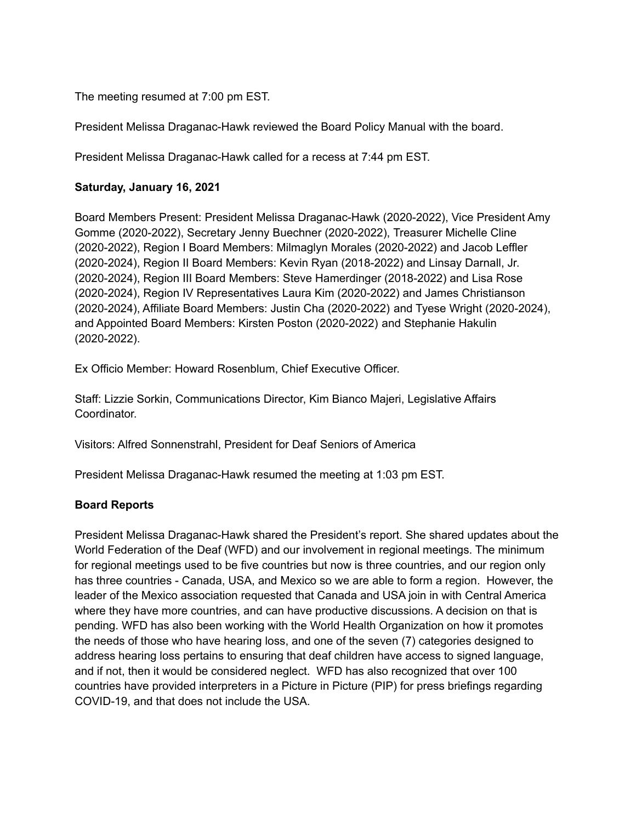The meeting resumed at 7:00 pm EST.

President Melissa Draganac-Hawk reviewed the Board Policy Manual with the board.

President Melissa Draganac-Hawk called for a recess at 7:44 pm EST.

# **Saturday, January 16, 2021**

Board Members Present: President Melissa Draganac-Hawk (2020-2022), Vice President Amy Gomme (2020-2022), Secretary Jenny Buechner (2020-2022), Treasurer Michelle Cline (2020-2022), Region I Board Members: Milmaglyn Morales (2020-2022) and Jacob Leffler (2020-2024), Region II Board Members: Kevin Ryan (2018-2022) and Linsay Darnall, Jr. (2020-2024), Region III Board Members: Steve Hamerdinger (2018-2022) and Lisa Rose (2020-2024), Region IV Representatives Laura Kim (2020-2022) and James Christianson (2020-2024), Affiliate Board Members: Justin Cha (2020-2022) and Tyese Wright (2020-2024), and Appointed Board Members: Kirsten Poston (2020-2022) and Stephanie Hakulin (2020-2022).

Ex Officio Member: Howard Rosenblum, Chief Executive Officer.

Staff: Lizzie Sorkin, Communications Director, Kim Bianco Majeri, Legislative Affairs **Coordinator** 

Visitors: Alfred Sonnenstrahl, President for Deaf Seniors of America

President Melissa Draganac-Hawk resumed the meeting at 1:03 pm EST.

# **Board Reports**

President Melissa Draganac-Hawk shared the President's report. She shared updates about the World Federation of the Deaf (WFD) and our involvement in regional meetings. The minimum for regional meetings used to be five countries but now is three countries, and our region only has three countries - Canada, USA, and Mexico so we are able to form a region. However, the leader of the Mexico association requested that Canada and USA join in with Central America where they have more countries, and can have productive discussions. A decision on that is pending. WFD has also been working with the World Health Organization on how it promotes the needs of those who have hearing loss, and one of the seven (7) categories designed to address hearing loss pertains to ensuring that deaf children have access to signed language, and if not, then it would be considered neglect. WFD has also recognized that over 100 countries have provided interpreters in a Picture in Picture (PIP) for press briefings regarding COVID-19, and that does not include the USA.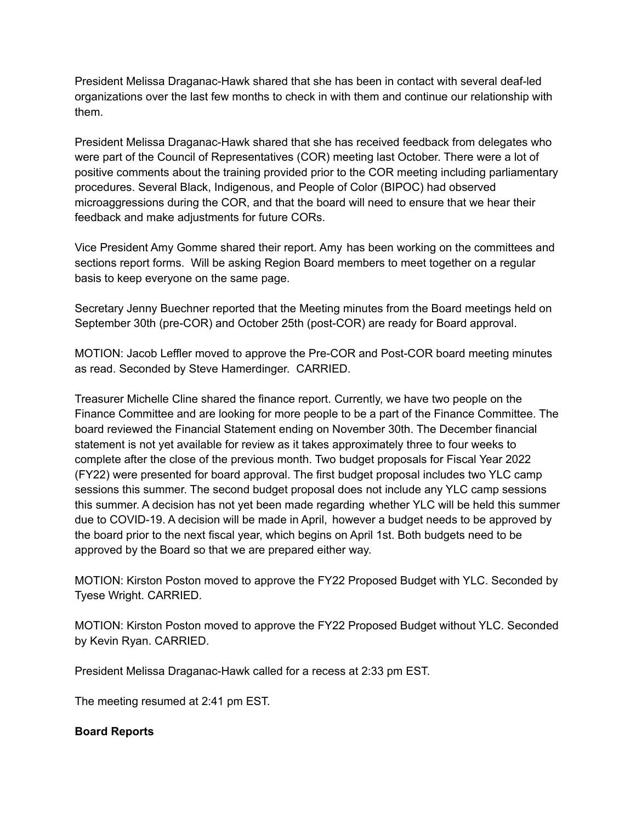President Melissa Draganac-Hawk shared that she has been in contact with several deaf-led organizations over the last few months to check in with them and continue our relationship with them.

President Melissa Draganac-Hawk shared that she has received feedback from delegates who were part of the Council of Representatives (COR) meeting last October. There were a lot of positive comments about the training provided prior to the COR meeting including parliamentary procedures. Several Black, Indigenous, and People of Color (BIPOC) had observed microaggressions during the COR, and that the board will need to ensure that we hear their feedback and make adjustments for future CORs.

Vice President Amy Gomme shared their report. Amy has been working on the committees and sections report forms. Will be asking Region Board members to meet together on a regular basis to keep everyone on the same page.

Secretary Jenny Buechner reported that the Meeting minutes from the Board meetings held on September 30th (pre-COR) and October 25th (post-COR) are ready for Board approval.

MOTION: Jacob Leffler moved to approve the Pre-COR and Post-COR board meeting minutes as read. Seconded by Steve Hamerdinger. CARRIED.

Treasurer Michelle Cline shared the finance report. Currently, we have two people on the Finance Committee and are looking for more people to be a part of the Finance Committee. The board reviewed the Financial Statement ending on November 30th. The December financial statement is not yet available for review as it takes approximately three to four weeks to complete after the close of the previous month. Two budget proposals for Fiscal Year 2022 (FY22) were presented for board approval. The first budget proposal includes two YLC camp sessions this summer. The second budget proposal does not include any YLC camp sessions this summer. A decision has not yet been made regarding whether YLC will be held this summer due to COVID-19. A decision will be made in April, however a budget needs to be approved by the board prior to the next fiscal year, which begins on April 1st. Both budgets need to be approved by the Board so that we are prepared either way.

MOTION: Kirston Poston moved to approve the FY22 Proposed Budget with YLC. Seconded by Tyese Wright. CARRIED.

MOTION: Kirston Poston moved to approve the FY22 Proposed Budget without YLC. Seconded by Kevin Ryan. CARRIED.

President Melissa Draganac-Hawk called for a recess at 2:33 pm EST.

The meeting resumed at 2:41 pm EST.

# **Board Reports**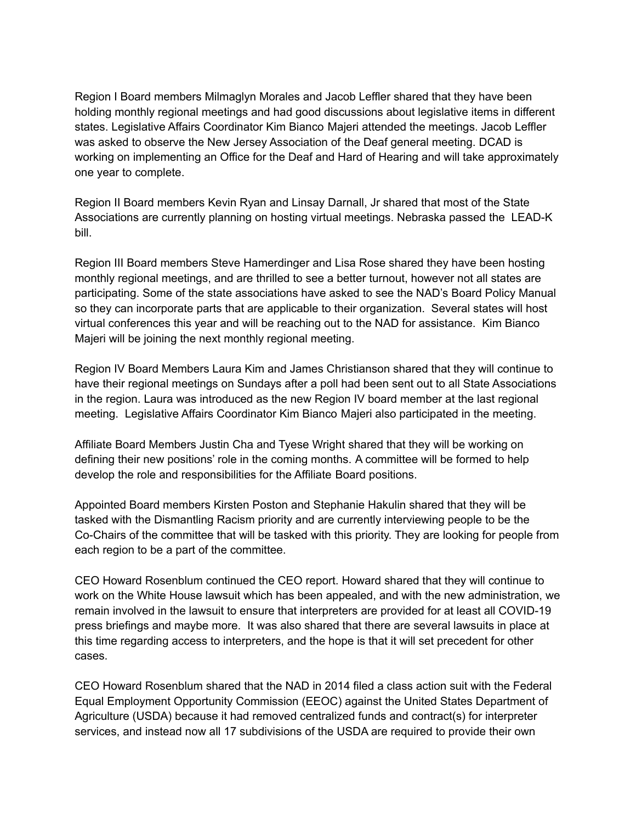Region I Board members Milmaglyn Morales and Jacob Leffler shared that they have been holding monthly regional meetings and had good discussions about legislative items in different states. Legislative Affairs Coordinator Kim Bianco Majeri attended the meetings. Jacob Leffler was asked to observe the New Jersey Association of the Deaf general meeting. DCAD is working on implementing an Office for the Deaf and Hard of Hearing and will take approximately one year to complete.

Region II Board members Kevin Ryan and Linsay Darnall, Jr shared that most of the State Associations are currently planning on hosting virtual meetings. Nebraska passed the LEAD-K bill.

Region III Board members Steve Hamerdinger and Lisa Rose shared they have been hosting monthly regional meetings, and are thrilled to see a better turnout, however not all states are participating. Some of the state associations have asked to see the NAD's Board Policy Manual so they can incorporate parts that are applicable to their organization. Several states will host virtual conferences this year and will be reaching out to the NAD for assistance. Kim Bianco Majeri will be joining the next monthly regional meeting.

Region IV Board Members Laura Kim and James Christianson shared that they will continue to have their regional meetings on Sundays after a poll had been sent out to all State Associations in the region. Laura was introduced as the new Region IV board member at the last regional meeting. Legislative Affairs Coordinator Kim Bianco Majeri also participated in the meeting.

Affiliate Board Members Justin Cha and Tyese Wright shared that they will be working on defining their new positions' role in the coming months. A committee will be formed to help develop the role and responsibilities for the Affiliate Board positions.

Appointed Board members Kirsten Poston and Stephanie Hakulin shared that they will be tasked with the Dismantling Racism priority and are currently interviewing people to be the Co-Chairs of the committee that will be tasked with this priority. They are looking for people from each region to be a part of the committee.

CEO Howard Rosenblum continued the CEO report. Howard shared that they will continue to work on the White House lawsuit which has been appealed, and with the new administration, we remain involved in the lawsuit to ensure that interpreters are provided for at least all COVID-19 press briefings and maybe more. It was also shared that there are several lawsuits in place at this time regarding access to interpreters, and the hope is that it will set precedent for other cases.

CEO Howard Rosenblum shared that the NAD in 2014 filed a class action suit with the Federal Equal Employment Opportunity Commission (EEOC) against the United States Department of Agriculture (USDA) because it had removed centralized funds and contract(s) for interpreter services, and instead now all 17 subdivisions of the USDA are required to provide their own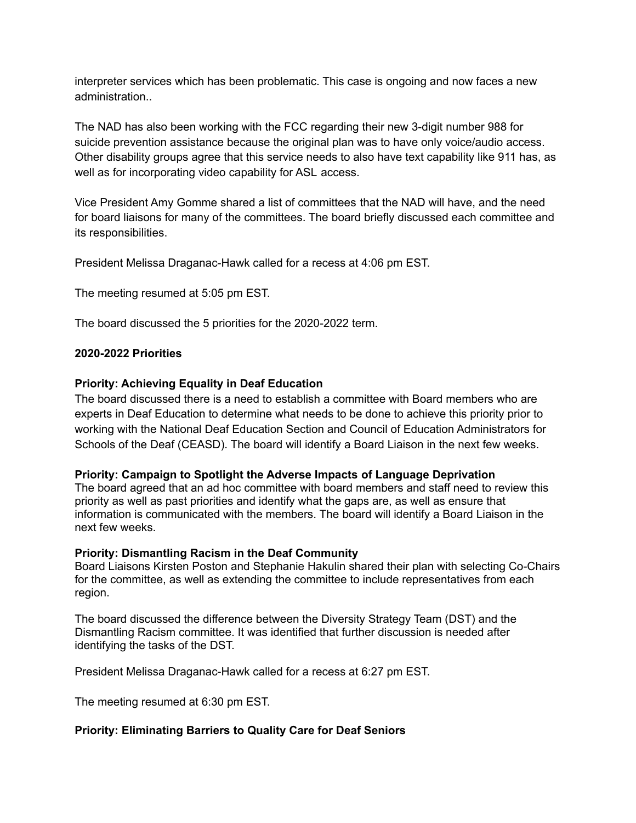interpreter services which has been problematic. This case is ongoing and now faces a new administration..

The NAD has also been working with the FCC regarding their new 3-digit number 988 for suicide prevention assistance because the original plan was to have only voice/audio access. Other disability groups agree that this service needs to also have text capability like 911 has, as well as for incorporating video capability for ASL access.

Vice President Amy Gomme shared a list of committees that the NAD will have, and the need for board liaisons for many of the committees. The board briefly discussed each committee and its responsibilities.

President Melissa Draganac-Hawk called for a recess at 4:06 pm EST.

The meeting resumed at 5:05 pm EST.

The board discussed the 5 priorities for the 2020-2022 term.

#### **2020-2022 Priorities**

#### **Priority: Achieving Equality in Deaf Education**

The board discussed there is a need to establish a committee with Board members who are experts in Deaf Education to determine what needs to be done to achieve this priority prior to working with the National Deaf Education Section and Council of Education Administrators for Schools of the Deaf (CEASD). The board will identify a Board Liaison in the next few weeks.

#### **Priority: Campaign to Spotlight the Adverse Impacts of Language Deprivation**

The board agreed that an ad hoc committee with board members and staff need to review this priority as well as past priorities and identify what the gaps are, as well as ensure that information is communicated with the members. The board will identify a Board Liaison in the next few weeks.

#### **Priority: Dismantling Racism in the Deaf Community**

Board Liaisons Kirsten Poston and Stephanie Hakulin shared their plan with selecting Co-Chairs for the committee, as well as extending the committee to include representatives from each region.

The board discussed the difference between the Diversity Strategy Team (DST) and the Dismantling Racism committee. It was identified that further discussion is needed after identifying the tasks of the DST.

President Melissa Draganac-Hawk called for a recess at 6:27 pm EST.

The meeting resumed at 6:30 pm EST.

#### **Priority: Eliminating Barriers to Quality Care for Deaf Seniors**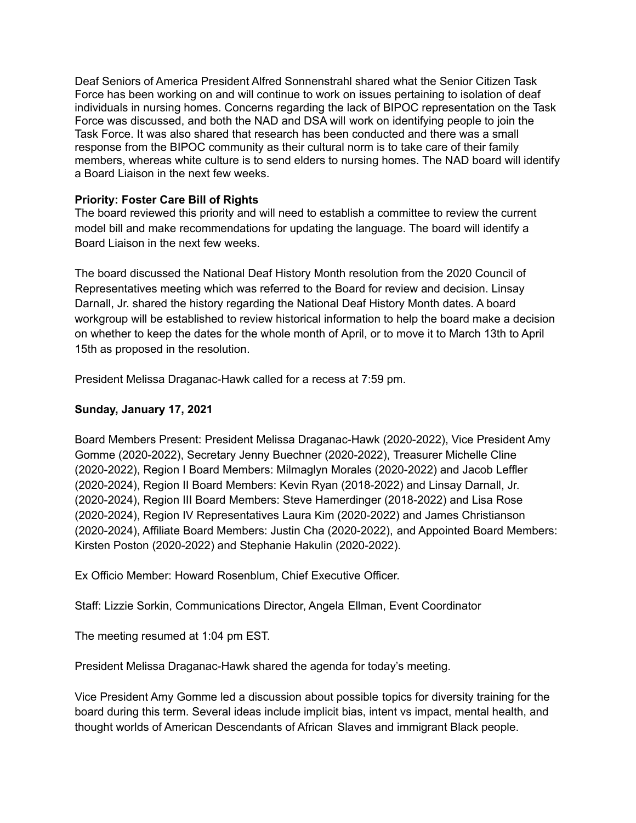Deaf Seniors of America President Alfred Sonnenstrahl shared what the Senior Citizen Task Force has been working on and will continue to work on issues pertaining to isolation of deaf individuals in nursing homes. Concerns regarding the lack of BIPOC representation on the Task Force was discussed, and both the NAD and DSA will work on identifying people to join the Task Force. It was also shared that research has been conducted and there was a small response from the BIPOC community as their cultural norm is to take care of their family members, whereas white culture is to send elders to nursing homes. The NAD board will identify a Board Liaison in the next few weeks.

# **Priority: Foster Care Bill of Rights**

The board reviewed this priority and will need to establish a committee to review the current model bill and make recommendations for updating the language. The board will identify a Board Liaison in the next few weeks.

The board discussed the National Deaf History Month resolution from the 2020 Council of Representatives meeting which was referred to the Board for review and decision. Linsay Darnall, Jr. shared the history regarding the National Deaf History Month dates. A board workgroup will be established to review historical information to help the board make a decision on whether to keep the dates for the whole month of April, or to move it to March 13th to April 15th as proposed in the resolution.

President Melissa Draganac-Hawk called for a recess at 7:59 pm.

# **Sunday, January 17, 2021**

Board Members Present: President Melissa Draganac-Hawk (2020-2022), Vice President Amy Gomme (2020-2022), Secretary Jenny Buechner (2020-2022), Treasurer Michelle Cline (2020-2022), Region I Board Members: Milmaglyn Morales (2020-2022) and Jacob Leffler (2020-2024), Region II Board Members: Kevin Ryan (2018-2022) and Linsay Darnall, Jr. (2020-2024), Region III Board Members: Steve Hamerdinger (2018-2022) and Lisa Rose (2020-2024), Region IV Representatives Laura Kim (2020-2022) and James Christianson (2020-2024), Affiliate Board Members: Justin Cha (2020-2022), and Appointed Board Members: Kirsten Poston (2020-2022) and Stephanie Hakulin (2020-2022).

Ex Officio Member: Howard Rosenblum, Chief Executive Officer.

Staff: Lizzie Sorkin, Communications Director, Angela Ellman, Event Coordinator

The meeting resumed at 1:04 pm EST.

President Melissa Draganac-Hawk shared the agenda for today's meeting.

Vice President Amy Gomme led a discussion about possible topics for diversity training for the board during this term. Several ideas include implicit bias, intent vs impact, mental health, and thought worlds of American Descendants of African Slaves and immigrant Black people.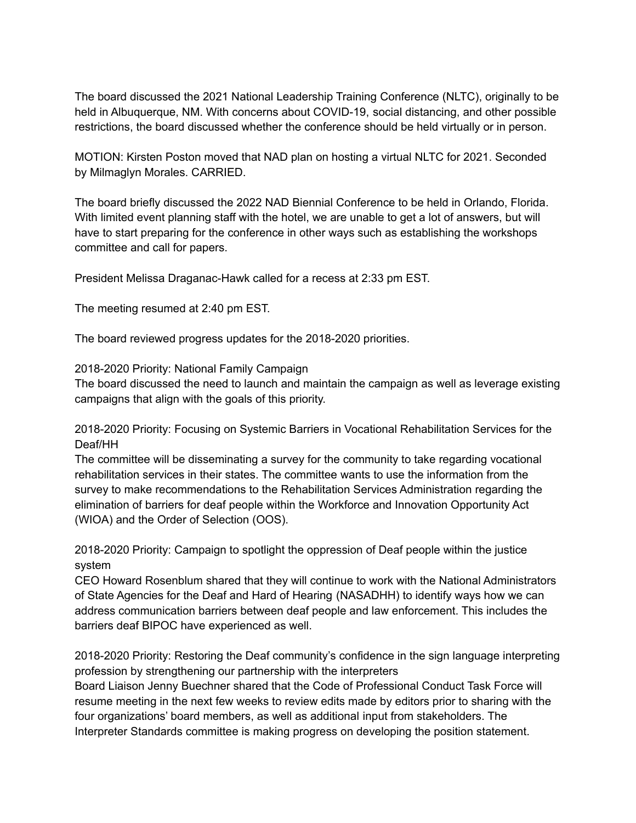The board discussed the 2021 National Leadership Training Conference (NLTC), originally to be held in Albuquerque, NM. With concerns about COVID-19, social distancing, and other possible restrictions, the board discussed whether the conference should be held virtually or in person.

MOTION: Kirsten Poston moved that NAD plan on hosting a virtual NLTC for 2021. Seconded by Milmaglyn Morales. CARRIED.

The board briefly discussed the 2022 NAD Biennial Conference to be held in Orlando, Florida. With limited event planning staff with the hotel, we are unable to get a lot of answers, but will have to start preparing for the conference in other ways such as establishing the workshops committee and call for papers.

President Melissa Draganac-Hawk called for a recess at 2:33 pm EST.

The meeting resumed at 2:40 pm EST.

The board reviewed progress updates for the 2018-2020 priorities.

2018-2020 Priority: National Family Campaign

The board discussed the need to launch and maintain the campaign as well as leverage existing campaigns that align with the goals of this priority.

2018-2020 Priority: Focusing on Systemic Barriers in Vocational Rehabilitation Services for the Deaf/HH

The committee will be disseminating a survey for the community to take regarding vocational rehabilitation services in their states. The committee wants to use the information from the survey to make recommendations to the Rehabilitation Services Administration regarding the elimination of barriers for deaf people within the Workforce and Innovation Opportunity Act (WIOA) and the Order of Selection (OOS).

2018-2020 Priority: Campaign to spotlight the oppression of Deaf people within the justice system

CEO Howard Rosenblum shared that they will continue to work with the National Administrators of State Agencies for the Deaf and Hard of Hearing (NASADHH) to identify ways how we can address communication barriers between deaf people and law enforcement. This includes the barriers deaf BIPOC have experienced as well.

2018-2020 Priority: Restoring the Deaf community's confidence in the sign language interpreting profession by strengthening our partnership with the interpreters Board Liaison Jenny Buechner shared that the Code of Professional Conduct Task Force will resume meeting in the next few weeks to review edits made by editors prior to sharing with the four organizations' board members, as well as additional input from stakeholders. The Interpreter Standards committee is making progress on developing the position statement.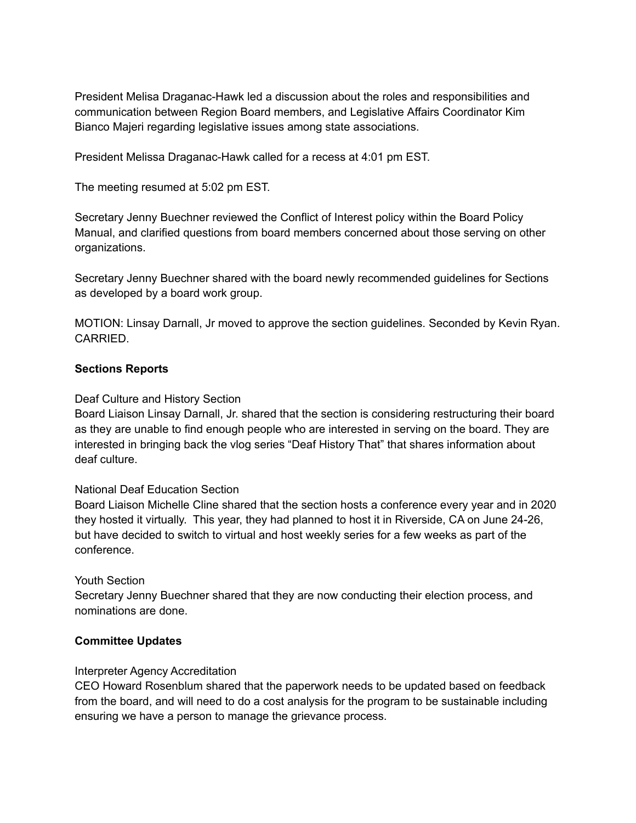President Melisa Draganac-Hawk led a discussion about the roles and responsibilities and communication between Region Board members, and Legislative Affairs Coordinator Kim Bianco Majeri regarding legislative issues among state associations.

President Melissa Draganac-Hawk called for a recess at 4:01 pm EST.

The meeting resumed at 5:02 pm EST.

Secretary Jenny Buechner reviewed the Conflict of Interest policy within the Board Policy Manual, and clarified questions from board members concerned about those serving on other organizations.

Secretary Jenny Buechner shared with the board newly recommended guidelines for Sections as developed by a board work group.

MOTION: Linsay Darnall, Jr moved to approve the section guidelines. Seconded by Kevin Ryan. CARRIED.

## **Sections Reports**

## Deaf Culture and History Section

Board Liaison Linsay Darnall, Jr. shared that the section is considering restructuring their board as they are unable to find enough people who are interested in serving on the board. They are interested in bringing back the vlog series "Deaf History That" that shares information about deaf culture.

## National Deaf Education Section

Board Liaison Michelle Cline shared that the section hosts a conference every year and in 2020 they hosted it virtually. This year, they had planned to host it in Riverside, CA on June 24-26, but have decided to switch to virtual and host weekly series for a few weeks as part of the conference.

## Youth Section

Secretary Jenny Buechner shared that they are now conducting their election process, and nominations are done.

## **Committee Updates**

## Interpreter Agency Accreditation

CEO Howard Rosenblum shared that the paperwork needs to be updated based on feedback from the board, and will need to do a cost analysis for the program to be sustainable including ensuring we have a person to manage the grievance process.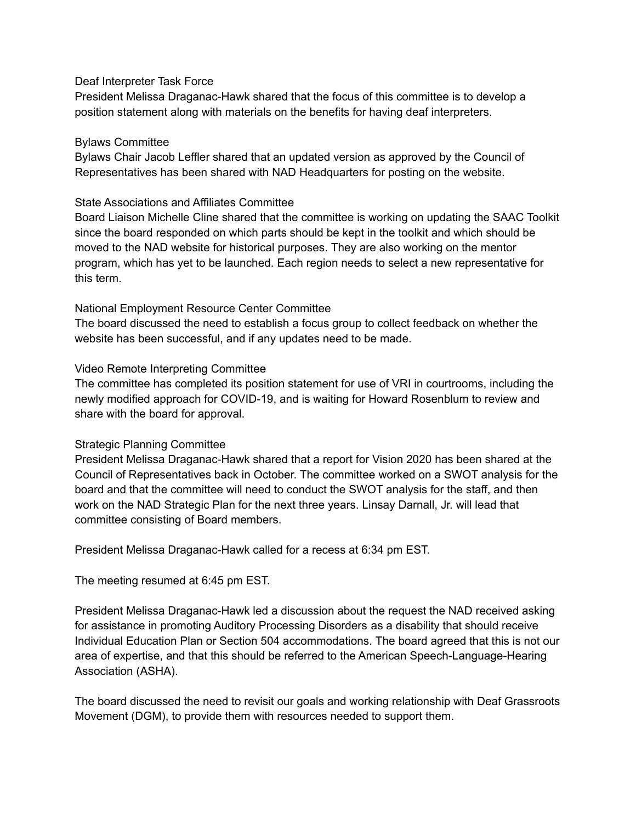### Deaf Interpreter Task Force

President Melissa Draganac-Hawk shared that the focus of this committee is to develop a position statement along with materials on the benefits for having deaf interpreters.

### Bylaws Committee

Bylaws Chair Jacob Leffler shared that an updated version as approved by the Council of Representatives has been shared with NAD Headquarters for posting on the website.

### State Associations and Affiliates Committee

Board Liaison Michelle Cline shared that the committee is working on updating the SAAC Toolkit since the board responded on which parts should be kept in the toolkit and which should be moved to the NAD website for historical purposes. They are also working on the mentor program, which has yet to be launched. Each region needs to select a new representative for this term.

#### National Employment Resource Center Committee

The board discussed the need to establish a focus group to collect feedback on whether the website has been successful, and if any updates need to be made.

#### Video Remote Interpreting Committee

The committee has completed its position statement for use of VRI in courtrooms, including the newly modified approach for COVID-19, and is waiting for Howard Rosenblum to review and share with the board for approval.

## Strategic Planning Committee

President Melissa Draganac-Hawk shared that a report for Vision 2020 has been shared at the Council of Representatives back in October. The committee worked on a SWOT analysis for the board and that the committee will need to conduct the SWOT analysis for the staff, and then work on the NAD Strategic Plan for the next three years. Linsay Darnall, Jr. will lead that committee consisting of Board members.

President Melissa Draganac-Hawk called for a recess at 6:34 pm EST.

The meeting resumed at 6:45 pm EST.

President Melissa Draganac-Hawk led a discussion about the request the NAD received asking for assistance in promoting Auditory Processing Disorders as a disability that should receive Individual Education Plan or Section 504 accommodations. The board agreed that this is not our area of expertise, and that this should be referred to the American Speech-Language-Hearing Association (ASHA).

The board discussed the need to revisit our goals and working relationship with Deaf Grassroots Movement (DGM), to provide them with resources needed to support them.